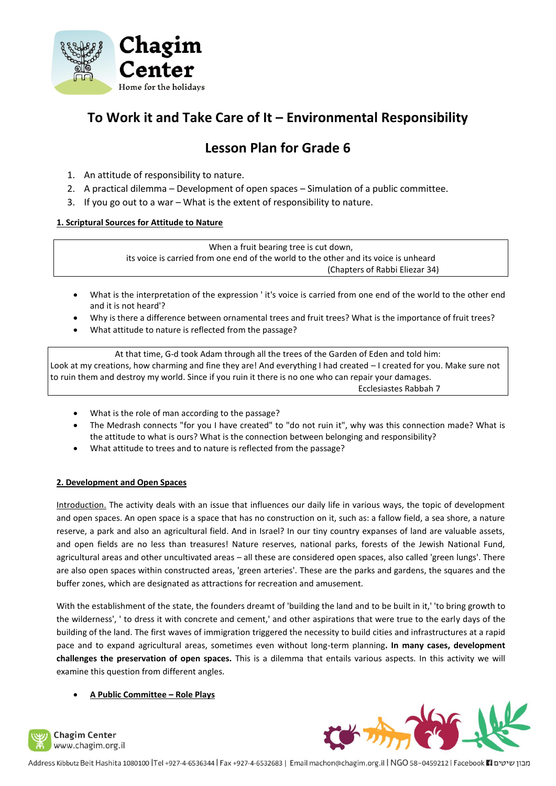

# **To Work it and Take Care of It – Environmental Responsibility**

# **Lesson Plan for Grade 6**

- 1. An attitude of responsibility to nature.
- 2. A practical dilemma Development of open spaces Simulation of a public committee.
- 3. If you go out to a war What is the extent of responsibility to nature.

# **1. Scriptural Sources for Attitude to Nature**

When a fruit bearing tree is cut down,

its voice is carried from one end of the world to the other and its voice is unheard (Chapters of Rabbi Eliezar 34)

- What is the interpretation of the expression ' it's voice is carried from one end of the world to the other end and it is not heard'?
- Why is there a difference between ornamental trees and fruit trees? What is the importance of fruit trees?
- What attitude to nature is reflected from the passage?

At that time, G-d took Adam through all the trees of the Garden of Eden and told him: Look at my creations, how charming and fine they are! And everything I had created – I created for you. Make sure not to ruin them and destroy my world. Since if you ruin it there is no one who can repair your damages. Ecclesiastes Rabbah 7

- What is the role of man according to the passage?
- The Medrash connects "for you I have created" to "do not ruin it", why was this connection made? What is the attitude to what is ours? What is the connection between belonging and responsibility?
- What attitude to trees and to nature is reflected from the passage?

# **2. Development and Open Spaces**

Introduction. The activity deals with an issue that influences our daily life in various ways, the topic of development and open spaces. An open space is a space that has no construction on it, such as: a fallow field, a sea shore, a nature reserve, a park and also an agricultural field. And in Israel? In our tiny country expanses of land are valuable assets, and open fields are no less than treasures! Nature reserves, national parks, forests of the Jewish National Fund, agricultural areas and other uncultivated areas – all these are considered open spaces, also called 'green lungs'. There are also open spaces within constructed areas, 'green arteries'. These are the parks and gardens, the squares and the buffer zones, which are designated as attractions for recreation and amusement.

With the establishment of the state, the founders dreamt of 'building the land and to be built in it,' 'to bring growth to the wilderness', ' to dress it with concrete and cement,' and other aspirations that were true to the early days of the building of the land. The first waves of immigration triggered the necessity to build cities and infrastructures at a rapid pace and to expand agricultural areas, sometimes even without long-term planning**. In many cases, development challenges the preservation of open spaces.** This is a dilemma that entails various aspects. In this activity we will examine this question from different angles.

# • **A Public Committee – Role Plays**





מבון שיטים Facebook 11 ו-1932 Address Kibbutz Beit Hashita 1080100 |Tel +927-4-6530344 | Fax +927-4-6532683 | Email machon@chagim.org.il | NGO 58-0459212 | Facebook 1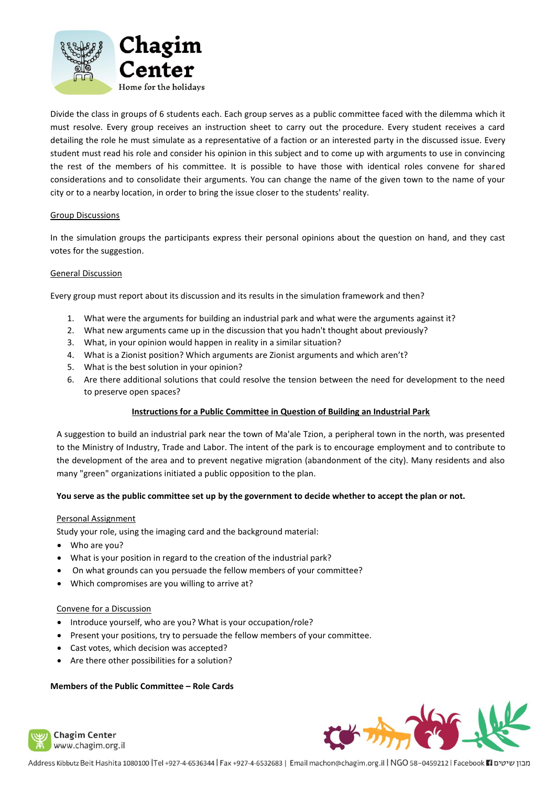

Divide the class in groups of 6 students each. Each group serves as a public committee faced with the dilemma which it must resolve. Every group receives an instruction sheet to carry out the procedure. Every student receives a card detailing the role he must simulate as a representative of a faction or an interested party in the discussed issue. Every student must read his role and consider his opinion in this subject and to come up with arguments to use in convincing the rest of the members of his committee. It is possible to have those with identical roles convene for shared considerations and to consolidate their arguments. You can change the name of the given town to the name of your city or to a nearby location, in order to bring the issue closer to the students' reality.

## Group Discussions

In the simulation groups the participants express their personal opinions about the question on hand, and they cast votes for the suggestion.

#### General Discussion

Every group must report about its discussion and its results in the simulation framework and then?

- 1. What were the arguments for building an industrial park and what were the arguments against it?
- 2. What new arguments came up in the discussion that you hadn't thought about previously?
- 3. What, in your opinion would happen in reality in a similar situation?
- 4. What is a Zionist position? Which arguments are Zionist arguments and which aren't?
- 5. What is the best solution in your opinion?
- 6. Are there additional solutions that could resolve the tension between the need for development to the need to preserve open spaces?

# **Instructions for a Public Committee in Question of Building an Industrial Park**

A suggestion to build an industrial park near the town of Ma'ale Tzion, a peripheral town in the north, was presented to the Ministry of Industry, Trade and Labor. The intent of the park is to encourage employment and to contribute to the development of the area and to prevent negative migration (abandonment of the city). Many residents and also many "green" organizations initiated a public opposition to the plan.

#### **You serve as the public committee set up by the government to decide whether to accept the plan or not.**

#### Personal Assignment

Study your role, using the imaging card and the background material:

- Who are you?
- What is your position in regard to the creation of the industrial park?
- On what grounds can you persuade the fellow members of your committee?
- Which compromises are you willing to arrive at?

#### Convene for a Discussion

- Introduce yourself, who are you? What is your occupation/role?
- Present your positions, try to persuade the fellow members of your committee.
- Cast votes, which decision was accepted?
- Are there other possibilities for a solution?

#### **Members of the Public Committee – Role Cards**



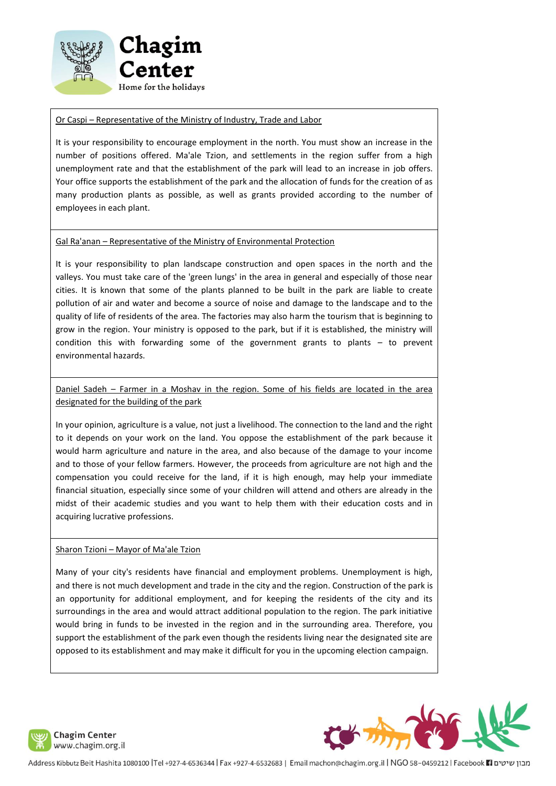

## Or Caspi – Representative of the Ministry of Industry, Trade and Labor

It is your responsibility to encourage employment in the north. You must show an increase in the number of positions offered. Ma'ale Tzion, and settlements in the region suffer from a high unemployment rate and that the establishment of the park will lead to an increase in job offers. Your office supports the establishment of the park and the allocation of funds for the creation of as many production plants as possible, as well as grants provided according to the number of employees in each plant.

## Gal Ra'anan – Representative of the Ministry of Environmental Protection

It is your responsibility to plan landscape construction and open spaces in the north and the valleys. You must take care of the 'green lungs' in the area in general and especially of those near cities. It is known that some of the plants planned to be built in the park are liable to create pollution of air and water and become a source of noise and damage to the landscape and to the quality of life of residents of the area. The factories may also harm the tourism that is beginning to grow in the region. Your ministry is opposed to the park, but if it is established, the ministry will condition this with forwarding some of the government grants to plants – to prevent environmental hazards.

Daniel Sadeh – Farmer in a Moshav in the region. Some of his fields are located in the area designated for the building of the park

In your opinion, agriculture is a value, not just a livelihood. The connection to the land and the right to it depends on your work on the land. You oppose the establishment of the park because it would harm agriculture and nature in the area, and also because of the damage to your income and to those of your fellow farmers. However, the proceeds from agriculture are not high and the compensation you could receive for the land, if it is high enough, may help your immediate financial situation, especially since some of your children will attend and others are already in the midst of their academic studies and you want to help them with their education costs and in acquiring lucrative professions.

#### Sharon Tzioni – Mayor of Ma'ale Tzion

Many of your city's residents have financial and employment problems. Unemployment is high, and there is not much development and trade in the city and the region. Construction of the park is an opportunity for additional employment, and for keeping the residents of the city and its surroundings in the area and would attract additional population to the region. The park initiative would bring in funds to be invested in the region and in the surrounding area. Therefore, you support the establishment of the park even though the residents living near the designated site are opposed to its establishment and may make it difficult for you in the upcoming election campaign.



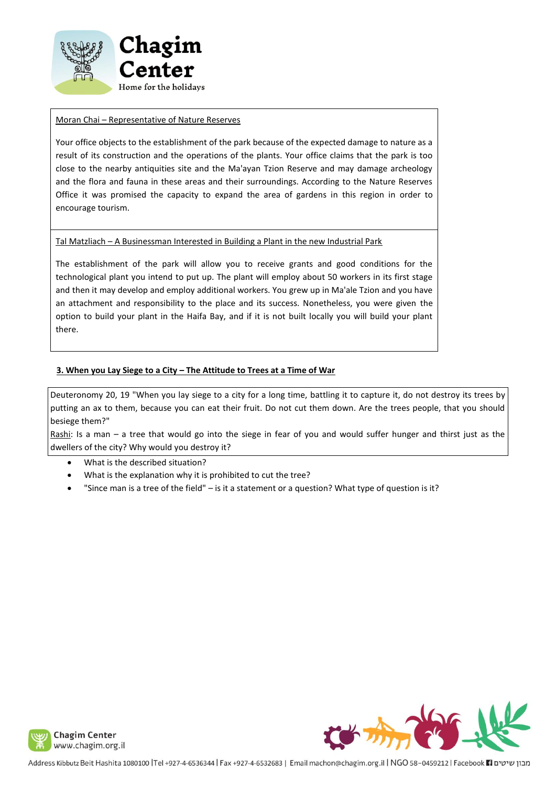

## Moran Chai – Representative of Nature Reserves

Your office objects to the establishment of the park because of the expected damage to nature as a result of its construction and the operations of the plants. Your office claims that the park is too close to the nearby antiquities site and the Ma'ayan Tzion Reserve and may damage archeology and the flora and fauna in these areas and their surroundings. According to the Nature Reserves Office it was promised the capacity to expand the area of gardens in this region in order to encourage tourism.

## Tal Matzliach – A Businessman Interested in Building a Plant in the new Industrial Park

The establishment of the park will allow you to receive grants and good conditions for the technological plant you intend to put up. The plant will employ about 50 workers in its first stage and then it may develop and employ additional workers. You grew up in Ma'ale Tzion and you have an attachment and responsibility to the place and its success. Nonetheless, you were given the option to build your plant in the Haifa Bay, and if it is not built locally you will build your plant there.

## **3. When you Lay Siege to a City – The Attitude to Trees at a Time of War**

Deuteronomy 20, 19 "When you lay siege to a city for a long time, battling it to capture it, do not destroy its trees by putting an ax to them, because you can eat their fruit. Do not cut them down. Are the trees people, that you should besiege them?"

Rashi: Is a man – a tree that would go into the siege in fear of you and would suffer hunger and thirst just as the dwellers of the city? Why would you destroy it?

- What is the described situation?
- What is the explanation why it is prohibited to cut the tree?
- "Since man is a tree of the field" is it a statement or a question? What type of question is it?